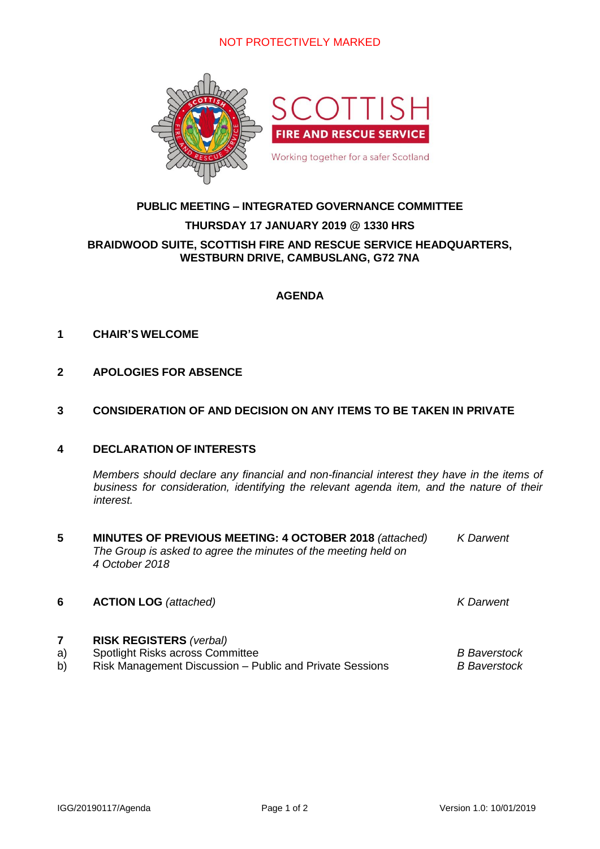## NOT PROTECTIVELY MARKED



### **PUBLIC MEETING – INTEGRATED GOVERNANCE COMMITTEE**

# **THURSDAY 17 JANUARY 2019 @ 1330 HRS BRAIDWOOD SUITE, SCOTTISH FIRE AND RESCUE SERVICE HEADQUARTERS, WESTBURN DRIVE, CAMBUSLANG, G72 7NA**

#### **AGENDA**

#### **1 CHAIR'S WELCOME**

**2 APOLOGIES FOR ABSENCE**

#### **3 CONSIDERATION OF AND DECISION ON ANY ITEMS TO BE TAKEN IN PRIVATE**

#### **4 DECLARATION OF INTERESTS**

*Members should declare any financial and non-financial interest they have in the items of business for consideration, identifying the relevant agenda item, and the nature of their interest.*

**5 MINUTES OF PREVIOUS MEETING: 4 OCTOBER 2018** *(attached) K Darwent The Group is asked to agree the minutes of the meeting held on 4 October 2018*

### **6 ACTION LOG** *(attached) K Darwent*

#### **7 RISK REGISTERS** *(verbal)*

- a) Spotlight Risks across Committee *B Baverstock*
- b) Risk Management Discussion Public and Private Sessions *B Baverstock*